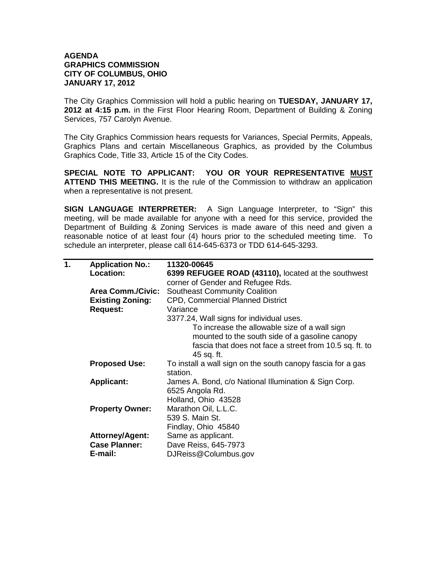## **AGENDA GRAPHICS COMMISSION CITY OF COLUMBUS, OHIO JANUARY 17, 2012**

The City Graphics Commission will hold a public hearing on **TUESDAY, JANUARY 17, 2012 at 4:15 p.m.** in the First Floor Hearing Room, Department of Building & Zoning Services, 757 Carolyn Avenue.

The City Graphics Commission hears requests for Variances, Special Permits, Appeals, Graphics Plans and certain Miscellaneous Graphics, as provided by the Columbus Graphics Code, Title 33, Article 15 of the City Codes.

**SPECIAL NOTE TO APPLICANT: YOU OR YOUR REPRESENTATIVE MUST ATTEND THIS MEETING.** It is the rule of the Commission to withdraw an application when a representative is not present.

**SIGN LANGUAGE INTERPRETER:** A Sign Language Interpreter, to "Sign" this meeting, will be made available for anyone with a need for this service, provided the Department of Building & Zoning Services is made aware of this need and given a reasonable notice of at least four (4) hours prior to the scheduled meeting time. To schedule an interpreter, please call 614-645-6373 or TDD 614-645-3293.

| 1. | <b>Application No.:</b>  | 11320-00645                                                 |
|----|--------------------------|-------------------------------------------------------------|
|    | Location:                | 6399 REFUGEE ROAD (43110), located at the southwest         |
|    |                          | corner of Gender and Refugee Rds.                           |
|    | <b>Area Comm./Civic:</b> | <b>Southeast Community Coalition</b>                        |
|    | <b>Existing Zoning:</b>  | <b>CPD, Commercial Planned District</b>                     |
|    | <b>Request:</b>          | Variance                                                    |
|    |                          | 3377.24, Wall signs for individual uses.                    |
|    |                          | To increase the allowable size of a wall sign               |
|    |                          | mounted to the south side of a gasoline canopy              |
|    |                          | fascia that does not face a street from 10.5 sq. ft. to     |
|    |                          | 45 sq. ft.                                                  |
|    | <b>Proposed Use:</b>     | To install a wall sign on the south canopy fascia for a gas |
|    |                          | station.                                                    |
|    | <b>Applicant:</b>        | James A. Bond, c/o National Illumination & Sign Corp.       |
|    |                          | 6525 Angola Rd.                                             |
|    |                          | Holland, Ohio 43528                                         |
|    | <b>Property Owner:</b>   | Marathon Oil, L.L.C.                                        |
|    |                          | 539 S. Main St.                                             |
|    |                          | Findlay, Ohio 45840                                         |
|    | <b>Attorney/Agent:</b>   | Same as applicant.                                          |
|    | <b>Case Planner:</b>     | Dave Reiss, 645-7973                                        |
|    | E-mail:                  | DJReiss@Columbus.gov                                        |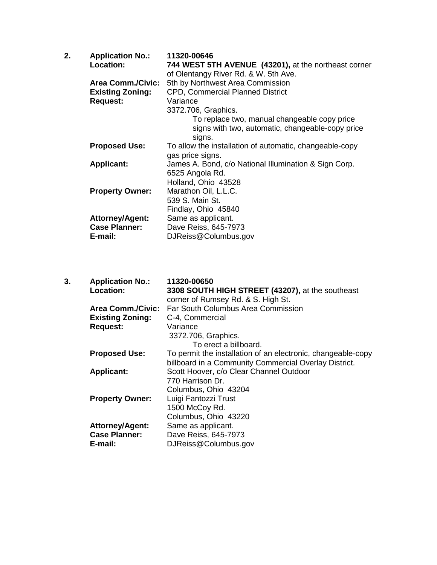| 2. | <b>Application No.:</b>  | 11320-00646                                             |
|----|--------------------------|---------------------------------------------------------|
|    | Location:                | 744 WEST 5TH AVENUE (43201), at the northeast corner    |
|    |                          | of Olentangy River Rd. & W. 5th Ave.                    |
|    | <b>Area Comm./Civic:</b> | 5th by Northwest Area Commission                        |
|    | <b>Existing Zoning:</b>  | <b>CPD, Commercial Planned District</b>                 |
|    | <b>Request:</b>          | Variance                                                |
|    |                          | 3372.706, Graphics.                                     |
|    |                          | To replace two, manual changeable copy price            |
|    |                          | signs with two, automatic, changeable-copy price        |
|    |                          | signs.                                                  |
|    | <b>Proposed Use:</b>     | To allow the installation of automatic, changeable-copy |
|    |                          | gas price signs.                                        |
|    | <b>Applicant:</b>        | James A. Bond, c/o National Illumination & Sign Corp.   |
|    |                          | 6525 Angola Rd.                                         |
|    |                          | Holland, Ohio 43528                                     |
|    | <b>Property Owner:</b>   | Marathon Oil, L.L.C.                                    |
|    |                          | 539 S. Main St.                                         |
|    |                          | Findlay, Ohio 45840                                     |
|    | <b>Attorney/Agent:</b>   | Same as applicant.                                      |
|    | <b>Case Planner:</b>     | Dave Reiss, 645-7973                                    |
|    | E-mail:                  | DJReiss@Columbus.gov                                    |
|    |                          |                                                         |

| 3. | <b>Application No.:</b>  | 11320-00650                                                  |
|----|--------------------------|--------------------------------------------------------------|
|    | Location:                | 3308 SOUTH HIGH STREET (43207), at the southeast             |
|    |                          | corner of Rumsey Rd. & S. High St.                           |
|    | <b>Area Comm./Civic:</b> | Far South Columbus Area Commission                           |
|    | <b>Existing Zoning:</b>  | C-4, Commercial                                              |
|    | <b>Request:</b>          | Variance                                                     |
|    |                          | 3372.706, Graphics.                                          |
|    |                          | To erect a billboard.                                        |
|    | <b>Proposed Use:</b>     | To permit the installation of an electronic, changeable-copy |
|    |                          | billboard in a Community Commercial Overlay District.        |
|    | <b>Applicant:</b>        | Scott Hoover, c/o Clear Channel Outdoor                      |
|    |                          | 770 Harrison Dr.                                             |
|    |                          | Columbus, Ohio 43204                                         |
|    | <b>Property Owner:</b>   | Luigi Fantozzi Trust                                         |
|    |                          | 1500 McCoy Rd.                                               |
|    |                          | Columbus, Ohio 43220                                         |
|    | <b>Attorney/Agent:</b>   | Same as applicant.                                           |
|    | <b>Case Planner:</b>     | Dave Reiss, 645-7973                                         |
|    | E-mail:                  | DJReiss@Columbus.gov                                         |
|    |                          |                                                              |